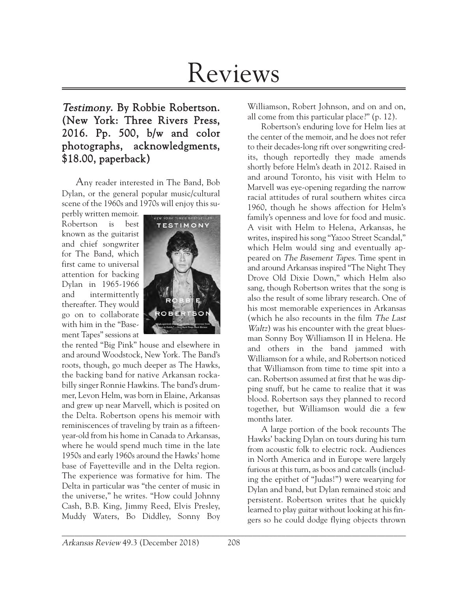# Reviews

Testimony. By Robbie Robertson. (New York: Three Rivers Press, 2016. Pp. 500, b/w and color photographs, acknowledgments, \$18.00, paperback)

Any reader interested in The Band, Bob Dylan, or the general popular music/cultural scene of the 1960s and 1970s will enjoy this su-

perbly written memoir. Robertson is best known as the guitarist and chief songwriter for The Band, which first came to universal attention for backing Dylan in 1965-1966 and intermittently thereafter. They would go on to collaborate with him in the "Basement Tapes" sessions at



the rented "Big Pink" house and elsewhere in and around Woodstock, New York. The Band's roots, though, go much deeper as The Hawks, the backing band for native Arkansan rockabilly singer Ronnie Hawkins. The band's drummer, Levon Helm, was born in Elaine, Arkansas and grew up near Marvell, which is posited on the Delta. Robertson opens his memoir with reminiscences of traveling by train as a fifteenyear-old from his home in Canada to Arkansas, where he would spend much time in the late 1950s and early 1960s around the Hawks' home base of Fayetteville and in the Delta region. The experience was formative for him. The Delta in particular was "the center of music in the universe," he writes. "How could Johnny Cash, B.B. King, Jimmy Reed, Elvis Presley, Muddy Waters, Bo Diddley, Sonny Boy

Williamson, Robert Johnson, and on and on, all come from this particular place?" (p. 12).

Robertson's enduring love for Helm lies at the center of the memoir, and he does not refer to their decades-long rift over songwriting credits, though reportedly they made amends shortly before Helm's death in 2012. Raised in and around Toronto, his visit with Helm to Marvell was eye-opening regarding the narrow racial attitudes of rural southern whites circa 1960, though he shows affection for Helm's family's openness and love for food and music. A visit with Helm to Helena, Arkansas, he writes, inspired his song "Yazoo Street Scandal," which Helm would sing and eventually appeared on The Basement Tapes. Time spent in and around Arkansas inspired "The Night They Drove Old Dixie Down," which Helm also sang, though Robertson writes that the song is also the result of some library research. One of his most memorable experiences in Arkansas (which he also recounts in the film The Last Waltz) was his encounter with the great bluesman Sonny Boy Williamson II in Helena. He and others in the band jammed with Williamson for a while, and Robertson noticed that Williamson from time to time spit into a can. Robertson assumed at first that he was dipping snuff, but he came to realize that it was blood. Robertson says they planned to record together, but Williamson would die a few months later.

A large portion of the book recounts The Hawks' backing Dylan on tours during his turn from acoustic folk to electric rock. Audiences in North America and in Europe were largely furious at this turn, as boos and catcalls (including the epithet of "Judas!") were wearying for Dylan and band, but Dylan remained stoic and persistent. Robertson writes that he quickly learned to play guitar without looking at his fingers so he could dodge flying objects thrown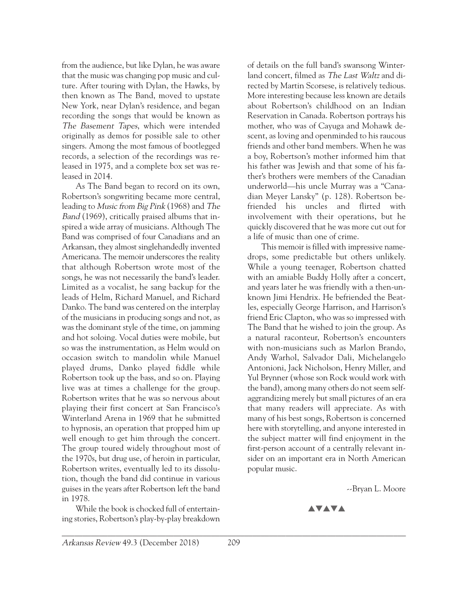from the audience, but like Dylan, he was aware that the music was changing pop music and culture. After touring with Dylan, the Hawks, by then known as The Band, moved to upstate New York, near Dylan's residence, and began recording the songs that would be known as The Basement Tapes, which were intended originally as demos for possible sale to other singers. Among the most famous of bootlegged records, a selection of the recordings was released in 1975, and a complete box set was released in 2014.

As The Band began to record on its own, Robertson's songwriting became more central, leading to Music from Big Pink (1968) and The Band (1969), critically praised albums that inspired a wide array of musicians. Although The Band was comprised of four Canadians and an Arkansan, they almost singlehandedly invented Americana. The memoir underscores the reality that although Robertson wrote most of the songs, he was not necessarily the band's leader. Limited as a vocalist, he sang backup for the leads of Helm, Richard Manuel, and Richard Danko. The band was centered on the interplay of the musicians in producing songs and not, as was the dominant style of the time, on jamming and hot soloing. Vocal duties were mobile, but so was the instrumentation, as Helm would on occasion switch to mandolin while Manuel played drums, Danko played fiddle while Robertson took up the bass, and so on. Playing live was at times a challenge for the group. Robertson writes that he was so nervous about playing their first concert at San Francisco's Winterland Arena in 1969 that he submitted to hypnosis, an operation that propped him up well enough to get him through the concert. The group toured widely throughout most of the 1970s, but drug use, of heroin in particular, Robertson writes, eventually led to its dissolution, though the band did continue in various guises in the years after Robertson left the band in 1978.

While the book is chocked full of entertaining stories, Robertson's play-by-play breakdown of details on the full band's swansong Winterland concert, filmed as The Last Waltz and directed by Martin Scorsese, is relatively tedious. More interesting because less known are details about Robertson's childhood on an Indian Reservation in Canada. Robertson portrays his mother, who was of Cayuga and Mohawk descent, as loving and openminded to his raucous friends and other band members. When he was a boy, Robertson's mother informed him that his father was Jewish and that some of his father's brothers were members of the Canadian underworld—his uncle Murray was a "Canadian Meyer Lansky" (p. 128). Robertson befriended his uncles and flirted with involvement with their operations, but he quickly discovered that he was more cut out for a life of music than one of crime.

This memoir is filled with impressive namedrops, some predictable but others unlikely. While a young teenager, Robertson chatted with an amiable Buddy Holly after a concert, and years later he was friendly with a then-unknown Jimi Hendrix. He befriended the Beatles, especially George Harrison, and Harrison's friend Eric Clapton, who was so impressed with The Band that he wished to join the group. As a natural raconteur, Robertson's encounters with non-musicians such as Marlon Brando, Andy Warhol, Salvador Dali, Michelangelo Antonioni, Jack Nicholson, Henry Miller, and Yul Brynner (whose son Rock would work with the band), among many others do not seem selfaggrandizing merely but small pictures of an era that many readers will appreciate. As with many of his best songs, Robertson is concerned here with storytelling, and anyone interested in the subject matter will find enjoyment in the first-person account of a centrally relevant insider on an important era in North American popular music.

--Bryan L. Moore

**AVAVA**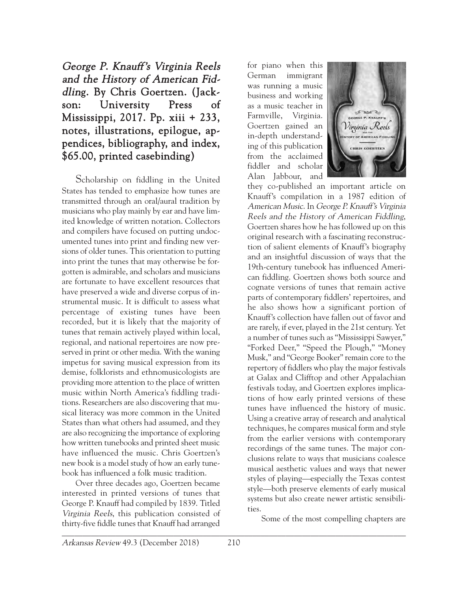George P. Knauff's Virginia Reels and the History of American Fiddling. By Chris Goertzen. (Jackson: University Press of Mississippi, 2017. Pp. xiii + 233, notes, illustrations, epilogue, appendices, bibliography, and index, \$65.00, printed casebinding)

Scholarship on fiddling in the United States has tended to emphasize how tunes are transmitted through an oral/aural tradition by musicians who play mainly by ear and have limited knowledge of written notation. Collectors and compilers have focused on putting undocumented tunes into print and finding new versions of older tunes. This orientation to putting into print the tunes that may otherwise be forgotten is admirable, and scholars and musicians are fortunate to have excellent resources that have preserved a wide and diverse corpus of instrumental music. It is difficult to assess what percentage of existing tunes have been recorded, but it is likely that the majority of tunes that remain actively played within local, regional, and national repertoires are now preserved in print or other media. With the waning impetus for saving musical expression from its demise, folklorists and ethnomusicologists are providing more attention to the place of written music within North America's fiddling traditions. Researchers are also discovering that musical literacy was more common in the United States than what others had assumed, and they are also recognizing the importance of exploring how written tunebooks and printed sheet music have influenced the music. Chris Goertzen's new book is a model study of how an early tunebook has influenced a folk music tradition.

 $\overline{a}$  , and the contribution of the contribution of  $\overline{a}$  , and  $\overline{a}$  , and  $\overline{a}$  , and  $\overline{a}$  , and  $\overline{a}$  , and  $\overline{a}$  , and  $\overline{a}$  , and  $\overline{a}$  , and  $\overline{a}$  , and  $\overline{a}$  , and  $\overline{a}$  , and Over three decades ago, Goertzen became interested in printed versions of tunes that George P. Knauff had compiled by 1839. Titled Virginia Reels, this publication consisted of thirty-five fiddle tunes that Knauff had arranged

for piano when this German immigrant was running a music business and working as a music teacher in Farmville, Virginia. Goertzen gained an in-depth understanding of this publication from the acclaimed fiddler and scholar Alan Jabbour, and



they co-published an important article on Knauff's compilation in a 1987 edition of American Music. In George P. Knauff's Virginia Reels and the History of American Fiddling, Goertzen shares how he has followed up on this original research with a fascinating reconstruction of salient elements of Knauff's biography and an insightful discussion of ways that the 19th-century tunebook has influenced American fiddling. Goertzen shows both source and cognate versions of tunes that remain active parts of contemporary fiddlers' repertoires, and he also shows how a significant portion of Knauff's collection have fallen out of favor and are rarely, if ever, played in the 21st century. Yet a number of tunes such as "Mississippi Sawyer," "Forked Deer," "Speed the Plough," "Money Musk," and "George Booker" remain core to the repertory of fiddlers who play the major festivals at Galax and Clifftop and other Appalachian festivals today, and Goertzen explores implications of how early printed versions of these tunes have influenced the history of music. Using a creative array of research and analytical techniques, he compares musical form and style from the earlier versions with contemporary recordings of the same tunes. The major conclusions relate to ways that musicians coalesce musical aesthetic values and ways that newer styles of playing—especially the Texas contest style—both preserve elements of early musical systems but also create newer artistic sensibilities.

Some of the most compelling chapters are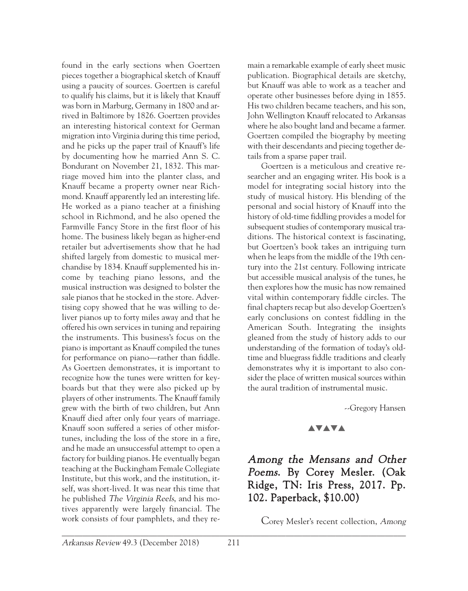found in the early sections when Goertzen pieces together a biographical sketch of Knauff using a paucity of sources. Goertzen is careful to qualify his claims, but it is likely that Knauff was born in Marburg, Germany in 1800 and arrived in Baltimore by 1826. Goertzen provides an interesting historical context for German migration into Virginia during this time period, and he picks up the paper trail of Knauff's life by documenting how he married Ann S. C. Bondurant on November 21, 1832. This marriage moved him into the planter class, and Knauff became a property owner near Richmond. Knauff apparently led an interesting life. He worked as a piano teacher at a finishing school in Richmond, and he also opened the Farmville Fancy Store in the first floor of his home. The business likely began as higher-end retailer but advertisements show that he had shifted largely from domestic to musical merchandise by 1834. Knauff supplemented his income by teaching piano lessons, and the musical instruction was designed to bolster the sale pianos that he stocked in the store. Advertising copy showed that he was willing to deliver pianos up to forty miles away and that he offered his own services in tuning and repairing the instruments. This business's focus on the piano is important as Knauff compiled the tunes for performance on piano—rather than fiddle. As Goertzen demonstrates, it is important to recognize how the tunes were written for keyboards but that they were also picked up by players of other instruments. The Knauff family grew with the birth of two children, but Ann Knauff died after only four years of marriage. Knauff soon suffered a series of other misfortunes, including the loss of the store in a fire, and he made an unsuccessful attempt to open a factory for building pianos. He eventually began teaching at the Buckingham Female Collegiate Institute, but this work, and the institution, itself, was short-lived. It was near this time that he published The Virginia Reels, and his motives apparently were largely financial. The work consists of four pamphlets, and they re-

main a remarkable example of early sheet music publication. Biographical details are sketchy, but Knauff was able to work as a teacher and operate other businesses before dying in 1855. His two children became teachers, and his son, John Wellington Knauff relocated to Arkansas where he also bought land and became a farmer. Goertzen compiled the biography by meeting with their descendants and piecing together details from a sparse paper trail.

Goertzen is a meticulous and creative researcher and an engaging writer. His book is a model for integrating social history into the study of musical history. His blending of the personal and social history of Knauff into the history of old-time fiddling provides a model for subsequent studies of contemporary musical traditions. The historical context is fascinating, but Goertzen's book takes an intriguing turn when he leaps from the middle of the 19th century into the 21st century. Following intricate but accessible musical analysis of the tunes, he then explores how the music has now remained vital within contemporary fiddle circles. The final chapters recap but also develop Goertzen's early conclusions on contest fiddling in the American South. Integrating the insights gleaned from the study of history adds to our understanding of the formation of today's oldtime and bluegrass fiddle traditions and clearly demonstrates why it is important to also consider the place of written musical sources within the aural tradition of instrumental music.

--Gregory Hansen

#### **AVAVA**

## Among the Mensans and Other Poems. By Corey Mesler. (Oak Ridge, TN: Iris Press, 2017. Pp. 102. Paperback, \$10.00)

Corey Mesler's recent collection, Among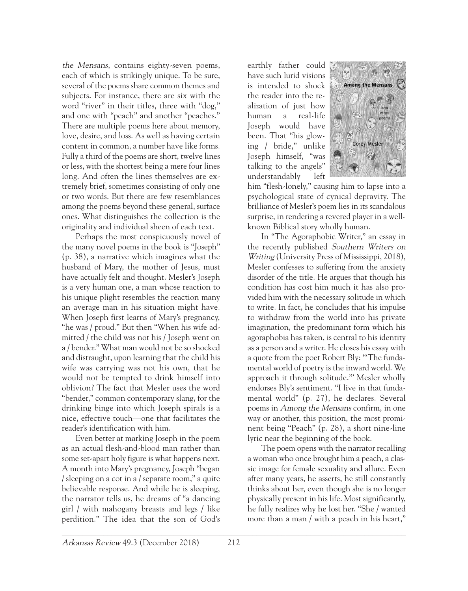the Mensans, contains eighty-seven poems, each of which is strikingly unique. To be sure, several of the poems share common themes and subjects. For instance, there are six with the word "river" in their titles, three with "dog," and one with "peach" and another "peaches." There are multiple poems here about memory, love, desire, and loss. As well as having certain content in common, a number have like forms. Fully a third of the poems are short, twelve lines or less, with the shortest being a mere four lines long. And often the lines themselves are extremely brief, sometimes consisting of only one or two words. But there are few resemblances among the poems beyond these general, surface ones. What distinguishes the collection is the originality and individual sheen of each text.

Perhaps the most conspicuously novel of the many novel poems in the book is "Joseph" (p. 38), a narrative which imagines what the husband of Mary, the mother of Jesus, must have actually felt and thought. Mesler's Joseph is a very human one, a man whose reaction to his unique plight resembles the reaction many an average man in his situation might have. When Joseph first learns of Mary's pregnancy, "he was / proud." But then "When his wife admitted / the child was not his / Joseph went on a / bender." What man would not be so shocked and distraught, upon learning that the child his wife was carrying was not his own, that he would not be tempted to drink himself into oblivion? The fact that Mesler uses the word "bender," common contemporary slang, for the drinking binge into which Joseph spirals is a nice, effective touch—one that facilitates the reader's identification with him.

Even better at marking Joseph in the poem as an actual flesh-and-blood man rather than some set-apart holy figure is what happens next. A month into Mary's pregnancy, Joseph "began / sleeping on a cot in a / separate room," a quite believable response. And while he is sleeping, the narrator tells us, he dreams of "a dancing girl / with mahogany breasts and legs / like perdition." The idea that the son of God's

earthly father could have such lurid visions is intended to shock the reader into the realization of just how human a real-life Joseph would have been. That "his glowing / bride," unlike Joseph himself, "was talking to the angels" understandably left



him "flesh-lonely," causing him to lapse into a psychological state of cynical depravity. The brilliance of Mesler's poem lies in its scandalous surprise, in rendering a revered player in a wellknown Biblical story wholly human.

In "The Agoraphobic Writer," an essay in the recently published Southern Writers on Writing (University Press of Mississippi, 2018), Mesler confesses to suffering from the anxiety disorder of the title. He argues that though his condition has cost him much it has also provided him with the necessary solitude in which to write. In fact, he concludes that his impulse to withdraw from the world into his private imagination, the predominant form which his agoraphobia has taken, is central to his identity as a person and a writer. He closes his essay with a quote from the poet Robert Bly: "'The fundamental world of poetry is the inward world. We approach it through solitude.'" Mesler wholly endorses Bly's sentiment. "I live in that fundamental world" (p. 27), he declares. Several poems in Among the Mensans confirm, in one way or another, this position, the most prominent being "Peach" (p. 28), a short nine-line lyric near the beginning of the book.

The poem opens with the narrator recalling a woman who once brought him a peach, a classic image for female sexuality and allure. Even after many years, he asserts, he still constantly thinks about her, even though she is no longer physically present in his life. Most significantly, he fully realizes why he lost her. "She / wanted more than a man / with a peach in his heart,"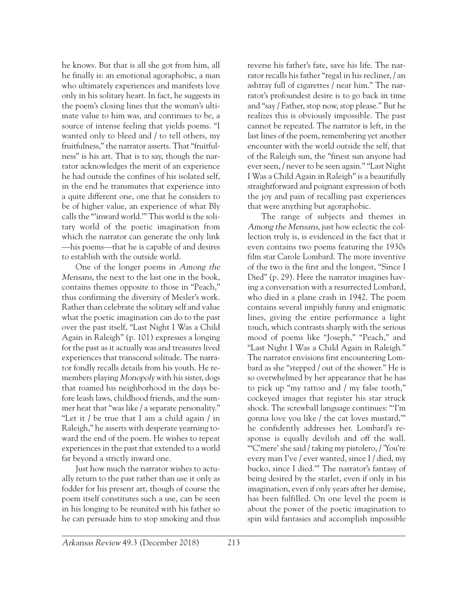he knows. But that is all she got from him, all he finally is: an emotional agoraphobic, a man who ultimately experiences and manifests love only in his solitary heart. In fact, he suggests in the poem's closing lines that the woman's ultimate value to him was, and continues to be, a source of intense feeling that yields poems. "I wanted only to bleed and / to tell others, my fruitfulness," the narrator asserts. That "fruitfulness" is his art. That is to say, though the narrator acknowledges the merit of an experience he had outside the confines of his isolated self, in the end he transmutes that experience into a quite different one, one that he considers to be of higher value, an experience of what Bly calls the "'inward world.'" This world is the solitary world of the poetic imagination from which the narrator can generate the only link —his poems—that he is capable of and desires to establish with the outside world.

One of the longer poems in Among the Mensans, the next to the last one in the book, contains themes opposite to those in "Peach," thus confirming the diversity of Mesler's work. Rather than celebrate the solitary self and value what the poetic imagination can do to the past over the past itself, "Last Night I Was a Child Again in Raleigh" (p. 101) expresses a longing for the past as it actually was and treasures lived experiences that transcend solitude. The narrator fondly recalls details from his youth. He remembers playing Monopoly with his sister, dogs that roamed his neighborhood in the days before leash laws, childhood friends, and the summer heat that "was like / a separate personality." "Let it / be true that I am a child again / in Raleigh," he asserts with desperate yearning toward the end of the poem. He wishes to repeat experiences in the past that extended to a world far beyond a strictly inward one.

Just how much the narrator wishes to actually return to the past rather than use it only as fodder for his present art, though of course the poem itself constitutes such a use, can be seen in his longing to be reunited with his father so he can persuade him to stop smoking and thus

reverse his father's fate, save his life. The narrator recalls his father "regal in his recliner, / an ashtray full of cigarettes / near him." The narrator's profoundest desire is to go back in time and "say / Father, stop now, stop please." But he realizes this is obviously impossible. The past cannot be repeated. The narrator is left, in the last lines of the poem, remembering yet another encounter with the world outside the self, that of the Raleigh sun, the "finest sun anyone had ever seen, / never to be seen again." "Last Night I Was a Child Again in Raleigh" is a beautifully straightforward and poignant expression of both the joy and pain of recalling past experiences that were anything but agoraphobic.

The range of subjects and themes in Among the Mensans, just how eclectic the collection truly is, is evidenced in the fact that it even contains two poems featuring the 1930s film star Carole Lombard. The more inventive of the two is the first and the longest, "Since I Died" (p. 29). Here the narrator imagines having a conversation with a resurrected Lombard, who died in a plane crash in 1942. The poem contains several impishly funny and enigmatic lines, giving the entire performance a light touch, which contrasts sharply with the serious mood of poems like "Joseph," "Peach," and "Last Night I Was a Child Again in Raleigh." The narrator envisions first encountering Lombard as she "stepped / out of the shower." He is so overwhelmed by her appearance that he has to pick up "my tattoo and / my false tooth," cockeyed images that register his star struck shock. The screwball language continues: "'I'm gonna love you like / the cat loves mustard,'" he confidently addresses her. Lombard's response is equally devilish and off the wall. "'C'mere' she said / taking my pistolero, / 'You're every man I've / ever wanted, since I / died, my bucko, since I died.'" The narrator's fantasy of being desired by the starlet, even if only in his imagination, even if only years after her demise, has been fulfilled. On one level the poem is about the power of the poetic imagination to spin wild fantasies and accomplish impossible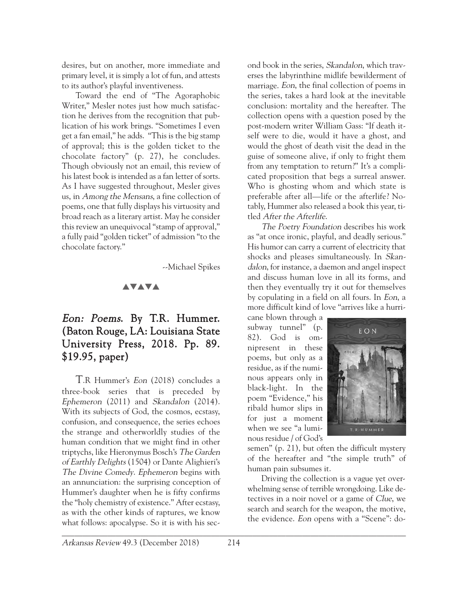desires, but on another, more immediate and primary level, it is simply a lot of fun, and attests to its author's playful inventiveness.

Toward the end of "The Agoraphobic Writer," Mesler notes just how much satisfaction he derives from the recognition that publication of his work brings. "Sometimes I even get a fan email," he adds. "This is the big stamp of approval; this is the golden ticket to the chocolate factory" (p. 27), he concludes. Though obviously not an email, this review of his latest book is intended as a fan letter of sorts. As I have suggested throughout, Mesler gives us, in Among the Mensans, a fine collection of poems, one that fully displays his virtuosity and broad reach as a literary artist. May he consider this review an unequivocal "stamp of approval," a fully paid "golden ticket" of admission "to the chocolate factory."

--Michael Spikes

## **AVAVA**

# Eon: Poems. By T.R. Hummer. (Baton Rouge, LA: Louisiana State University Press, 2018. Pp. 89. \$19.95, paper)

T.R Hummer's Eon (2018) concludes a three-book series that is preceded by Ephemeron (2011) and Skandalon (2014). With its subjects of God, the cosmos, ecstasy, confusion, and consequence, the series echoes the strange and otherworldly studies of the human condition that we might find in other triptychs, like Hieronymus Bosch's The Garden of Earthly Delights (1504) or Dante Alighieri's The Divine Comedy. Ephemeron begins with an annunciation: the surprising conception of Hummer's daughter when he is fifty confirms the "holy chemistry of existence." After ecstasy, as with the other kinds of raptures, we know what follows: apocalypse. So it is with his sec-

ond book in the series, Skandalon, which traverses the labyrinthine midlife bewilderment of marriage. Eon, the final collection of poems in the series, takes a hard look at the inevitable conclusion: mortality and the hereafter. The collection opens with a question posed by the post-modern writer William Gass: "If death itself were to die, would it have a ghost, and would the ghost of death visit the dead in the guise of someone alive, if only to fright them from any temptation to return?" It's a complicated proposition that begs a surreal answer. Who is ghosting whom and which state is preferable after all—life or the afterlife? Notably, Hummer also released a book this year, titled After the Afterlife.

The Poetry Foundation describes his work as "at once ironic, playful, and deadly serious." His humor can carry a current of electricity that shocks and pleases simultaneously. In Skandalon, for instance, a daemon and angel inspect and discuss human love in all its forms, and then they eventually try it out for themselves by copulating in a field on all fours. In Eon, a more difficult kind of love "arrives like a hurri-

cane blown through a subway tunnel" (p. 82). God is omnipresent in these poems, but only as a residue, as if the numinous appears only in black-light. In the poem "Evidence," his ribald humor slips in for just a moment when we see "a luminous residue / of God's



semen" (p. 21), but often the difficult mystery of the hereafter and "the simple truth" of human pain subsumes it.

Driving the collection is a vague yet overwhelming sense of terrible wrongdoing. Like detectives in a noir novel or a game of Clue, we search and search for the weapon, the motive, the evidence. Eon opens with a "Scene": do-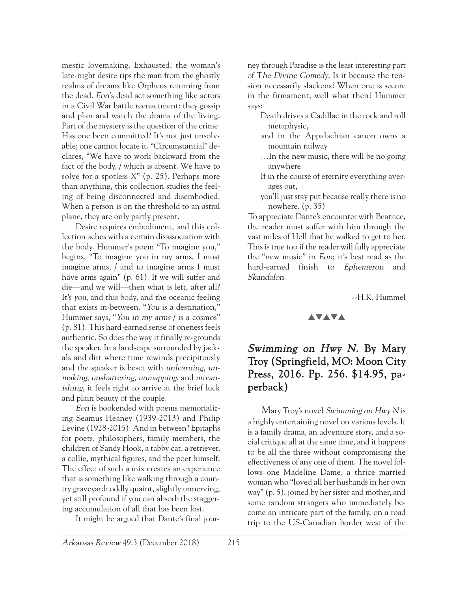mestic lovemaking. Exhausted, the woman's late-night desire rips the man from the ghostly realms of dreams like Orpheus returning from the dead. Eon's dead act something like actors in a Civil War battle reenactment: they gossip and plan and watch the drama of the living. Part of the mystery is the question of the crime. Has one been committed? It's not just unsolvable; one cannot locate it. "Circumstantial" declares, "We have to work backward from the fact of the body, / which is absent. We have to solve for a spotless X" (p. 25). Perhaps more than anything, this collection studies the feeling of being disconnected and disembodied. When a person is on the threshold to an astral plane, they are only partly present.

Desire requires embodiment, and this collection aches with a certain disassociation with the body. Hummer's poem "To imagine you," begins, "To imagine you in my arms, I must imagine arms, / and to imagine arms I must have arms again" (p. 61). If we will suffer and die—and we will—then what is left, after all? It's you, and this body, and the oceanic feeling that exists in-between. "You is a destination," Hummer says, "You in my arms / is a cosmos" (p. 81). This hard-earned sense of oneness feels authentic. So does the way it finally re-grounds the speaker. In a landscape surrounded by jackals and dirt where time rewinds precipitously and the speaker is beset with unlearning, unmaking, unshattering, unmapping, and unvanishing, it feels right to arrive at the brief luck and plain beauty of the couple.

Eon is bookended with poems memorializing Seamus Heaney (1939-2013) and Philip Levine (1928-2015). And in between? Epitaphs for poets, philosophers, family members, the children of Sandy Hook, a tabby cat, a retriever, a collie, mythical figures, and the poet himself. The effect of such a mix creates an experience that is something like walking through a country graveyard: oddly quaint, slightly unnerving, yet still profound if you can absorb the staggering accumulation of all that has been lost.

It might be argued that Dante's final jour-

ney through Paradise is the least interesting part of The Divine Comedy. Is it because the tension necessarily slackens? When one is secure in the firmament, well what then? Hummer says:

- Death drives a Cadillac in the rock and roll metaphysic,
- and in the Appalachian canon owns a mountain railway
- …In the new music, there will be no going anywhere.
- If in the course of eternity everything averages out,
- you'll just stay put because really there is no nowhere. (p. 35)

To appreciate Dante's encounter with Beatrice, the reader must suffer with him through the vast miles of Hell that he walked to get to her. This is true too if the reader will fully appreciate the "new music" in Eon; it's best read as the hard-earned finish to Ephemeron and Skandalon.

--H.K. Hummel

#### **AVAVA**

# Swimming on Hwy N. By Mary Troy (Springfield, MO: Moon City Press, 2016. Pp. 256. \$14.95, paperback)

Mary Troy's novel Swimming on Hwy N is a highly entertaining novel on various levels. It is a family drama, an adventure story, and a social critique all at the same time, and it happens to be all the three without compromising the effectiveness of any one of them. The novel follows one Madeline Dame, a thrice married woman who "loved all her husbands in her own way" (p. 5), joined by her sister and mother, and some random strangers who immediately become an intricate part of the family, on a road trip to the US-Canadian border west of the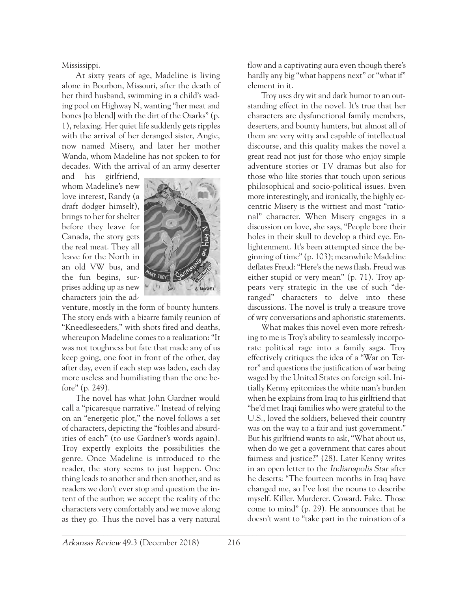Mississippi.

At sixty years of age, Madeline is living alone in Bourbon, Missouri, after the death of her third husband, swimming in a child's wading pool on Highway N, wanting "her meat and bones [to blend] with the dirt of the Ozarks" (p. 1), relaxing. Her quiet life suddenly gets ripples with the arrival of her deranged sister, Angie, now named Misery, and later her mother Wanda, whom Madeline has not spoken to for decades. With the arrival of an army deserter

and his girlfriend, whom Madeline's new love interest, Randy (a draft dodger himself), brings to her for shelter before they leave for Canada, the story gets the real meat. They all leave for the North in an old VW bus, and the fun begins, surprises adding up as new characters join the ad-



venture, mostly in the form of bounty hunters. The story ends with a bizarre family reunion of "Kneedleseeders," with shots fired and deaths, whereupon Madeline comes to a realization: "It was not toughness but fate that made any of us keep going, one foot in front of the other, day after day, even if each step was laden, each day more useless and humiliating than the one before" (p. 249).

The novel has what John Gardner would call a "picaresque narrative." Instead of relying on an "energetic plot," the novel follows a set of characters, depicting the "foibles and absurdities of each" (to use Gardner's words again). Troy expertly exploits the possibilities the genre. Once Madeline is introduced to the reader, the story seems to just happen. One thing leads to another and then another, and as readers we don't ever stop and question the intent of the author; we accept the reality of the characters very comfortably and we move along as they go. Thus the novel has a very natural flow and a captivating aura even though there's hardly any big "what happens next" or "what if" element in it.

Troy uses dry wit and dark humor to an outstanding effect in the novel. It's true that her characters are dysfunctional family members, deserters, and bounty hunters, but almost all of them are very witty and capable of intellectual discourse, and this quality makes the novel a great read not just for those who enjoy simple adventure stories or TV dramas but also for those who like stories that touch upon serious philosophical and socio-political issues. Even more interestingly, and ironically, the highly eccentric Misery is the wittiest and most "rational" character. When Misery engages in a discussion on love, she says, "People bore their holes in their skull to develop a third eye. Enlightenment. It's been attempted since the beginning of time" (p. 103); meanwhile Madeline deflates Freud: "Here's the news flash. Freud was either stupid or very mean" (p. 71). Troy appears very strategic in the use of such "deranged" characters to delve into these discussions. The novel is truly a treasure trove of wry conversations and aphoristic statements.

What makes this novel even more refreshing to me is Troy's ability to seamlessly incorporate political rage into a family saga. Troy effectively critiques the idea of a "War on Terror" and questions the justification of war being waged by the United States on foreign soil. Initially Kenny epitomizes the white man's burden when he explains from Iraq to his girlfriend that "he'd met Iraqi families who were grateful to the U.S., loved the soldiers, believed their country was on the way to a fair and just government." But his girlfriend wants to ask, "What about us, when do we get a government that cares about fairness and justice?" (28). Later Kenny writes in an open letter to the Indianapolis Star after he deserts: "The fourteen months in Iraq have changed me, so I've lost the nouns to describe myself. Killer. Murderer. Coward. Fake. Those come to mind" (p. 29). He announces that he doesn't want to "take part in the ruination of a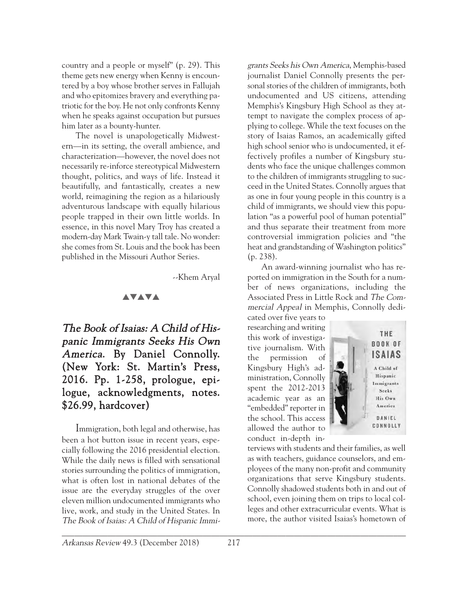country and a people or myself" (p. 29). This theme gets new energy when Kenny is encountered by a boy whose brother serves in Fallujah and who epitomizes bravery and everything patriotic for the boy. He not only confronts Kenny when he speaks against occupation but pursues him later as a bounty-hunter.

The novel is unapologetically Midwestern—in its setting, the overall ambience, and characterization—however, the novel does not necessarily re-inforce stereotypical Midwestern thought, politics, and ways of life. Instead it beautifully, and fantastically, creates a new world, reimagining the region as a hilariously adventurous landscape with equally hilarious people trapped in their own little worlds. In essence, in this novel Mary Troy has created a modern-day Mark Twain-y tall tale. No wonder: she comes from St. Louis and the book has been published in the Missouri Author Series.

--Khem Aryal

## **AVAVA**

The Book of Isaias: A Child of Hispanic Immigrants Seeks His Own America. By Daniel Connolly. (New York: St. Martin's Press, 2016. Pp. 1-258, prologue, epilogue, acknowledgments, notes. \$26.99, hardcover)

Immigration, both legal and otherwise, has been a hot button issue in recent years, especially following the 2016 presidential election. While the daily news is filled with sensational stories surrounding the politics of immigration, what is often lost in national debates of the issue are the everyday struggles of the over eleven million undocumented immigrants who live, work, and study in the United States. In The Book of Isaias: A Child of Hispanic Immi-

grants Seeks his Own America, Memphis-based journalist Daniel Connolly presents the personal stories of the children of immigrants, both undocumented and US citizens, attending Memphis's Kingsbury High School as they attempt to navigate the complex process of applying to college. While the text focuses on the story of Isaias Ramos, an academically gifted high school senior who is undocumented, it effectively profiles a number of Kingsbury students who face the unique challenges common to the children of immigrants struggling to succeed in the United States. Connolly argues that as one in four young people in this country is a child of immigrants, we should view this population "as a powerful pool of human potential" and thus separate their treatment from more controversial immigration policies and "the heat and grandstanding of Washington politics" (p. 238).

An award-winning journalist who has reported on immigration in the South for a number of news organizations, including the Associated Press in Little Rock and The Commercial Appeal in Memphis, Connolly dedi-

cated over five years to researching and writing this work of investigative journalism. With the permission of Kingsbury High's administration, Connolly spent the 2012-2013 academic year as an "embedded" reporter in the school. This access allowed the author to conduct in-depth in-



terviews with students and their families, as well as with teachers, guidance counselors, and employees of the many non-profit and community organizations that serve Kingsbury students. Connolly shadowed students both in and out of school, even joining them on trips to local colleges and other extracurricular events. What is more, the author visited Isaias's hometown of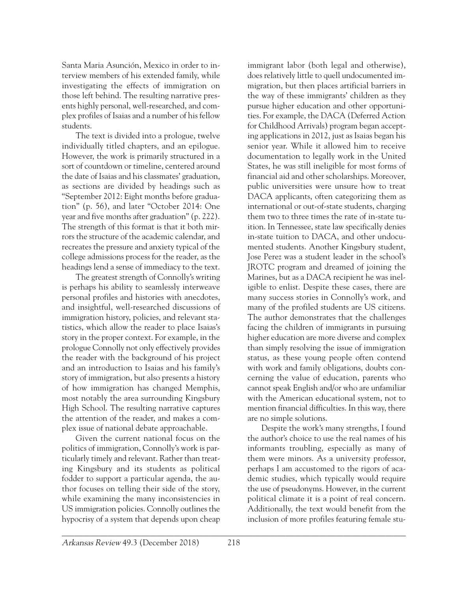Santa Maria Asunción, Mexico in order to interview members of his extended family, while investigating the effects of immigration on those left behind. The resulting narrative presents highly personal, well-researched, and complex profiles of Isaias and a number of his fellow students.

The text is divided into a prologue, twelve individually titled chapters, and an epilogue. However, the work is primarily structured in a sort of countdown or timeline, centered around the date of Isaias and his classmates' graduation, as sections are divided by headings such as "September 2012: Eight months before graduation" (p. 56), and later "October 2014: One year and five months after graduation" (p. 222). The strength of this format is that it both mirrors the structure of the academic calendar, and recreates the pressure and anxiety typical of the college admissions process for the reader, as the headings lend a sense of immediacy to the text.

The greatest strength of Connolly's writing is perhaps his ability to seamlessly interweave personal profiles and histories with anecdotes, and insightful, well-researched discussions of immigration history, policies, and relevant statistics, which allow the reader to place Isaias's story in the proper context. For example, in the prologue Connolly not only effectively provides the reader with the background of his project and an introduction to Isaias and his family's story of immigration, but also presents a history of how immigration has changed Memphis, most notably the area surrounding Kingsbury High School. The resulting narrative captures the attention of the reader, and makes a complex issue of national debate approachable.

Given the current national focus on the politics of immigration, Connolly's work is particularly timely and relevant. Rather than treating Kingsbury and its students as political fodder to support a particular agenda, the author focuses on telling their side of the story, while examining the many inconsistencies in US immigration policies. Connolly outlines the hypocrisy of a system that depends upon cheap

immigrant labor (both legal and otherwise), does relatively little to quell undocumented immigration, but then places artificial barriers in the way of these immigrants' children as they pursue higher education and other opportunities. For example, the DACA (Deferred Action for Childhood Arrivals) program began accepting applications in 2012, just as Isaias began his senior year. While it allowed him to receive documentation to legally work in the United States, he was still ineligible for most forms of financial aid and other scholarships. Moreover, public universities were unsure how to treat DACA applicants, often categorizing them as international or out-of-state students, charging them two to three times the rate of in-state tuition. In Tennessee, state law specifically denies in-state tuition to DACA, and other undocumented students. Another Kingsbury student, Jose Perez was a student leader in the school's JROTC program and dreamed of joining the Marines, but as a DACA recipient he was ineligible to enlist. Despite these cases, there are many success stories in Connolly's work, and many of the profiled students are US citizens. The author demonstrates that the challenges facing the children of immigrants in pursuing higher education are more diverse and complex than simply resolving the issue of immigration status, as these young people often contend with work and family obligations, doubts concerning the value of education, parents who cannot speak English and/or who are unfamiliar with the American educational system, not to mention financial difficulties. In this way, there are no simple solutions.

Despite the work's many strengths, I found the author's choice to use the real names of his informants troubling, especially as many of them were minors. As a university professor, perhaps I am accustomed to the rigors of academic studies, which typically would require the use of pseudonyms. However, in the current political climate it is a point of real concern. Additionally, the text would benefit from the inclusion of more profiles featuring female stu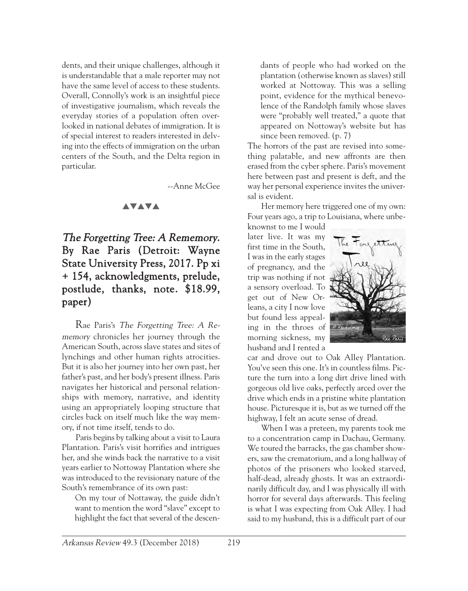dents, and their unique challenges, although it is understandable that a male reporter may not have the same level of access to these students. Overall, Connolly's work is an insightful piece of investigative journalism, which reveals the everyday stories of a population often overlooked in national debates of immigration. It is of special interest to readers interested in delving into the effects of immigration on the urban centers of the South, and the Delta region in particular.

--Anne McGee

#### **AVAVA**

# The Forgetting Tree: A Rememory. By Rae Paris (Detroit: Wayne State University Press, 2017. Pp xi + 154, acknowledgments, prelude, postlude, thanks, note. \$18.99, paper)

Rae Paris's The Forgetting Tree: A Rememory chronicles her journey through the American South, across slave states and sites of lynchings and other human rights atrocities. But it is also her journey into her own past, her father's past, and her body's present illness. Paris navigates her historical and personal relationships with memory, narrative, and identity using an appropriately looping structure that circles back on itself much like the way memory, if not time itself, tends to do.

Paris begins by talking about a visit to Laura Plantation. Paris's visit horrifies and intrigues her, and she winds back the narrative to a visit years earlier to Nottoway Plantation where she was introduced to the revisionary nature of the South's remembrance of its own past:

On my tour of Nottaway, the guide didn't want to mention the word "slave" except to highlight the fact that several of the descendants of people who had worked on the plantation (otherwise known as slaves) still worked at Nottoway. This was a selling point, evidence for the mythical benevolence of the Randolph family whose slaves were "probably well treated," a quote that appeared on Nottoway's website but has since been removed. (p. 7)

The horrors of the past are revised into something palatable, and new affronts are then erased from the cyber sphere. Paris's movement here between past and present is deft, and the way her personal experience invites the universal is evident.

Her memory here triggered one of my own: Four years ago, a trip to Louisiana, where unbe-

knownst to me I would later live. It was my first time in the South, I was in the early stages of pregnancy, and the trip was nothing if not a sensory overload. To get out of New Orleans, a city I now love but found less appealing in the throes of morning sickness, my husband and I rented a



car and drove out to Oak Alley Plantation. You've seen this one. It's in countless films. Picture the turn into a long dirt drive lined with gorgeous old live oaks, perfectly arced over the drive which ends in a pristine white plantation house. Picturesque it is, but as we turned off the highway, I felt an acute sense of dread.

When I was a preteen, my parents took me to a concentration camp in Dachau, Germany. We toured the barracks, the gas chamber showers, saw the crematorium, and a long hallway of photos of the prisoners who looked starved, half-dead, already ghosts. It was an extraordinarily difficult day, and I was physically ill with horror for several days afterwards. This feeling is what I was expecting from Oak Alley. I had said to my husband, this is a difficult part of our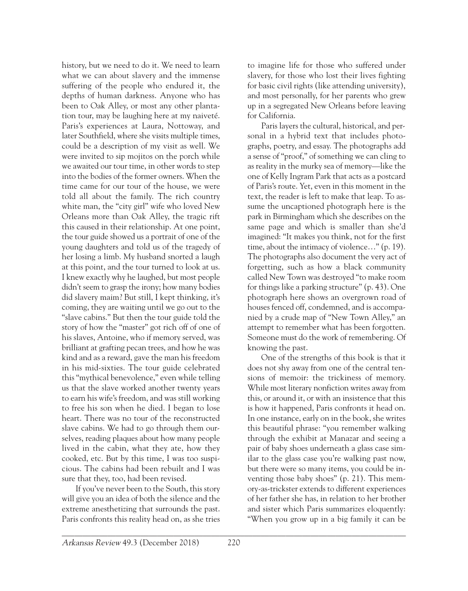history, but we need to do it. We need to learn what we can about slavery and the immense suffering of the people who endured it, the depths of human darkness. Anyone who has been to Oak Alley, or most any other plantation tour, may be laughing here at my naiveté. Paris's experiences at Laura, Nottoway, and later Southfield, where she visits multiple times, could be a description of my visit as well. We were invited to sip mojitos on the porch while we awaited our tour time, in other words to step into the bodies of the former owners. When the time came for our tour of the house, we were told all about the family. The rich country white man, the "city girl" wife who loved New Orleans more than Oak Alley, the tragic rift this caused in their relationship. At one point, the tour guide showed us a portrait of one of the young daughters and told us of the tragedy of her losing a limb. My husband snorted a laugh at this point, and the tour turned to look at us. I knew exactly why he laughed, but most people didn't seem to grasp the irony; how many bodies did slavery maim? But still, I kept thinking, it's coming, they are waiting until we go out to the "slave cabins." But then the tour guide told the story of how the "master" got rich off of one of his slaves, Antoine, who if memory served, was brilliant at grafting pecan trees, and how he was kind and as a reward, gave the man his freedom in his mid-sixties. The tour guide celebrated this "mythical benevolence," even while telling us that the slave worked another twenty years to earn his wife's freedom, and was still working to free his son when he died. I began to lose heart. There was no tour of the reconstructed slave cabins. We had to go through them ourselves, reading plaques about how many people lived in the cabin, what they ate, how they cooked, etc. But by this time, I was too suspicious. The cabins had been rebuilt and I was sure that they, too, had been revised.

If you've never been to the South, this story will give you an idea of both the silence and the extreme anesthetizing that surrounds the past. Paris confronts this reality head on, as she tries

to imagine life for those who suffered under slavery, for those who lost their lives fighting for basic civil rights (like attending university), and most personally, for her parents who grew up in a segregated New Orleans before leaving for California.

Paris layers the cultural, historical, and personal in a hybrid text that includes photographs, poetry, and essay. The photographs add a sense of "proof," of something we can cling to as reality in the murky sea of memory—like the one of Kelly Ingram Park that acts as a postcard of Paris's route. Yet, even in this moment in the text, the reader is left to make that leap. To assume the uncaptioned photograph here is the park in Birmingham which she describes on the same page and which is smaller than she'd imagined: "It makes you think, not for the first time, about the intimacy of violence…" (p. 19). The photographs also document the very act of forgetting, such as how a black community called New Town was destroyed "to make room for things like a parking structure" (p. 43). One photograph here shows an overgrown road of houses fenced off, condemned, and is accompanied by a crude map of "New Town Alley," an attempt to remember what has been forgotten. Someone must do the work of remembering. Of knowing the past.

One of the strengths of this book is that it does not shy away from one of the central tensions of memoir: the trickiness of memory. While most literary nonfiction writes away from this, or around it, or with an insistence that this is how it happened, Paris confronts it head on. In one instance, early on in the book, she writes this beautiful phrase: "you remember walking through the exhibit at Manazar and seeing a pair of baby shoes underneath a glass case similar to the glass case you're walking past now, but there were so many items, you could be inventing those baby shoes" (p. 21). This memory-as-trickster extends to different experiences of her father she has, in relation to her brother and sister which Paris summarizes eloquently: "When you grow up in a big family it can be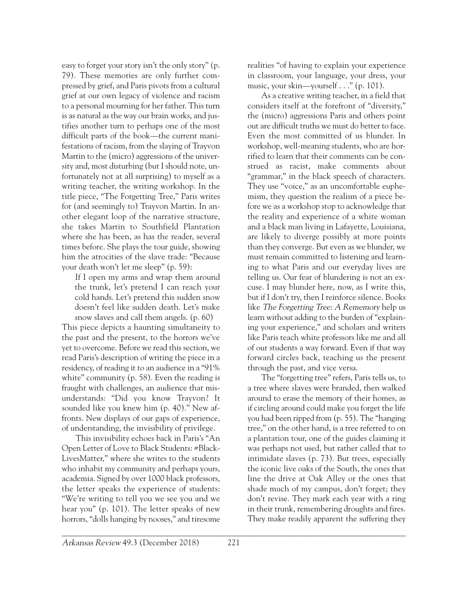easy to forget your story isn't the only story" (p. 79). These memories are only further compressed by grief, and Paris pivots from a cultural grief at our own legacy of violence and racism to a personal mourning for her father. This turn is as natural as the way our brain works, and justifies another turn to perhaps one of the most difficult parts of the book—the current manifestations of racism, from the slaying of Trayvon Martin to the (micro) aggressions of the university and, most disturbing (but I should note, unfortunately not at all surprising) to myself as a writing teacher, the writing workshop. In the title piece, "The Forgetting Tree," Paris writes for (and seemingly to) Trayvon Martin. In another elegant loop of the narrative structure, she takes Martin to Southfield Plantation where she has been, as has the reader, several times before. She plays the tour guide, showing him the atrocities of the slave trade: "Because your death won't let me sleep" (p. 59):

If I open my arms and wrap them around the trunk, let's pretend I can reach your cold hands. Let's pretend this sudden snow doesn't feel like sudden death. Let's make snow slaves and call them angels. (p. 60)

This piece depicts a haunting simultaneity to the past and the present, to the horrors we've yet to overcome. Before we read this section, we read Paris's description of writing the piece in a residency, of reading it to an audience in a "91% white" community (p. 58). Even the reading is fraught with challenges, an audience that misunderstands: "Did you know Trayvon? It sounded like you knew him (p. 40)." New affronts. New displays of our gaps of experience, of understanding, the invisibility of privilege.

This invisibility echoes back in Paris's "An Open Letter of Love to Black Students: #Black-LivesMatter," where she writes to the students who inhabit my community and perhaps yours, academia. Signed by over 1000 black professors, the letter speaks the experience of students: "We're writing to tell you we see you and we hear you" (p. 101). The letter speaks of new horrors, "dolls hanging by nooses," and tiresome

realities "of having to explain your experience in classroom, your language, your dress, your music, your skin—yourself . . ." (p. 101).

As a creative writing teacher, in a field that considers itself at the forefront of "diversity," the (micro) aggressions Paris and others point out are difficult truths we must do better to face. Even the most committed of us blunder. In workshop, well-meaning students, who are horrified to learn that their comments can be construed as racist, make comments about "grammar," in the black speech of characters. They use "voice," as an uncomfortable euphemism, they question the realism of a piece before we as a workshop stop to acknowledge that the reality and experience of a white woman and a black man living in Lafayette, Louisiana, are likely to diverge possibly at more points than they converge. But even as we blunder, we must remain committed to listening and learning to what Paris and our everyday lives are telling us. Our fear of blundering is not an excuse. I may blunder here, now, as I write this, but if I don't try, then I reinforce silence. Books like The Forgetting Tree: A Rememory help us learn without adding to the burden of "explaining your experience," and scholars and writers like Paris teach white professors like me and all of our students a way forward. Even if that way forward circles back, teaching us the present through the past, and vice versa.

The "forgetting tree" refers, Paris tells us, to a tree where slaves were branded, then walked around to erase the memory of their homes, as if circling around could make you forget the life you had been ripped from (p. 55). The "hanging tree," on the other hand, is a tree referred to on a plantation tour, one of the guides claiming it was perhaps not used, but rather called that to intimidate slaves (p. 73). But trees, especially the iconic live oaks of the South, the ones that line the drive at Oak Alley or the ones that shade much of my campus, don't forget; they don't revise. They mark each year with a ring in their trunk, remembering droughts and fires. They make readily apparent the suffering they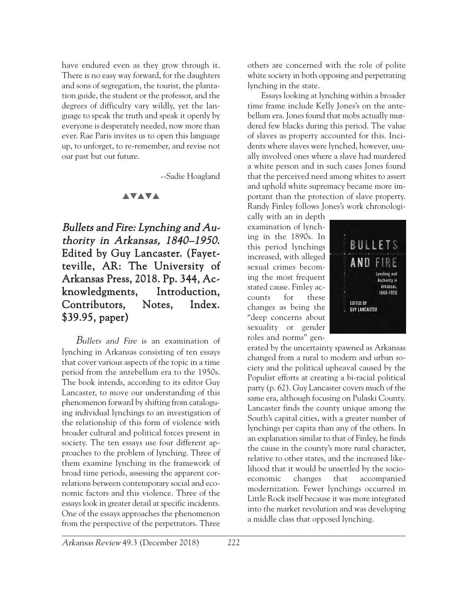have endured even as they grow through it. There is no easy way forward, for the daughters and sons of segregation, the tourist, the plantation guide, the student or the professor, and the degrees of difficulty vary wildly, yet the language to speak the truth and speak it openly by everyone is desperately needed, now more than ever. Rae Paris invites us to open this language up, to unforget, to re-remember, and revise not our past but our future.

--Sadie Hoagland

#### **AVAVA**

Bullets and Fire: Lynching and Authority in Arkansas, 1840–1950. Edited by Guy Lancaster. (Fayetteville, AR: The University of Arkansas Press, 2018. Pp. 344, Acknowledgments, Introduction, Contributors, Notes, Index. \$39.95, paper)

\_\_\_\_\_\_\_\_\_\_\_\_\_\_\_\_\_\_\_\_\_\_\_\_\_\_\_\_\_\_\_\_\_\_\_\_\_\_\_\_\_\_\_\_\_\_\_\_\_\_\_\_\_\_\_\_\_\_\_\_\_\_\_\_\_\_\_\_\_\_\_\_\_\_\_\_\_\_\_\_\_\_\_ Bullets and Fire is an examination of lynching in Arkansas consisting of ten essays that cover various aspects of the topic in a time period from the antebellum era to the 1950s. The book intends, according to its editor Guy Lancaster, to move our understanding of this phenomenon forward by shifting from cataloguing individual lynchings to an investigation of the relationship of this form of violence with broader cultural and political forces present in society. The ten essays use four different approaches to the problem of lynching. Three of them examine lynching in the framework of broad time periods, assessing the apparent correlations between contemporary social and economic factors and this violence. Three of the essays look in greater detail at specific incidents. One of the essays approaches the phenomenon from the perspective of the perpetrators. Three

others are concerned with the role of polite white society in both opposing and perpetrating lynching in the state.

Essays looking at lynching within a broader time frame include Kelly Jones's on the antebellum era. Jones found that mobs actually murdered few blacks during this period. The value of slaves as property accounted for this. Incidents where slaves were lynched, however, usually involved ones where a slave had murdered a white person and in such cases Jones found that the perceived need among whites to assert and uphold white supremacy became more important than the protection of slave property. Randy Finley follows Jones's work chronologi-

cally with an in depth examination of lynching in the 1890s. In this period lynchings increased, with alleged sexual crimes becoming the most frequent stated cause. Finley accounts for these changes as being the "deep concerns about sexuality or gender roles and norms" gen-



erated by the uncertainty spawned as Arkansas changed from a rural to modern and urban society and the political upheaval caused by the Populist efforts at creating a bi-racial political party (p. 62). Guy Lancaster covers much of the same era, although focusing on Pulaski County. Lancaster finds the county unique among the South's capital cities, with a greater number of lynchings per capita than any of the others. In an explanation similar to that of Finley, he finds the cause in the county's more rural character, relative to other states, and the increased likelihood that it would be unsettled by the socioeconomic changes that accompanied modernization. Fewer lynchings occurred in Little Rock itself because it was more integrated into the market revolution and was developing a middle class that opposed lynching.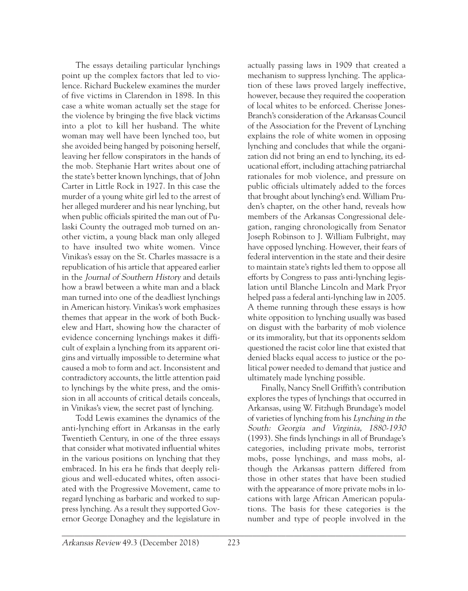The essays detailing particular lynchings point up the complex factors that led to violence. Richard Buckelew examines the murder of five victims in Clarendon in 1898. In this case a white woman actually set the stage for the violence by bringing the five black victims into a plot to kill her husband. The white woman may well have been lynched too, but she avoided being hanged by poisoning herself, leaving her fellow conspirators in the hands of the mob. Stephanie Hart writes about one of the state's better known lynchings, that of John Carter in Little Rock in 1927. In this case the murder of a young white girl led to the arrest of her alleged murderer and his near lynching, but when public officials spirited the man out of Pulaski County the outraged mob turned on another victim, a young black man only alleged to have insulted two white women. Vince Vinikas's essay on the St. Charles massacre is a republication of his article that appeared earlier in the Journal of Southern History and details how a brawl between a white man and a black man turned into one of the deadliest lynchings in American history. Vinikas's work emphasizes themes that appear in the work of both Buckelew and Hart, showing how the character of evidence concerning lynchings makes it difficult of explain a lynching from its apparent origins and virtually impossible to determine what caused a mob to form and act. Inconsistent and contradictory accounts, the little attention paid to lynchings by the white press, and the omission in all accounts of critical details conceals, in Vinikas's view, the secret past of lynching.

Todd Lewis examines the dynamics of the anti-lynching effort in Arkansas in the early Twentieth Century, in one of the three essays that consider what motivated influential whites in the various positions on lynching that they embraced. In his era he finds that deeply religious and well-educated whites, often associated with the Progressive Movement, came to regard lynching as barbaric and worked to suppress lynching. As a result they supported Governor George Donaghey and the legislature in

actually passing laws in 1909 that created a mechanism to suppress lynching. The application of these laws proved largely ineffective, however, because they required the cooperation of local whites to be enforced. Cherisse Jones-Branch's consideration of the Arkansas Council of the Association for the Prevent of Lynching explains the role of white women in opposing lynching and concludes that while the organization did not bring an end to lynching, its educational effort, including attaching patriarchal rationales for mob violence, and pressure on public officials ultimately added to the forces that brought about lynching's end. William Pruden's chapter, on the other hand, reveals how members of the Arkansas Congressional delegation, ranging chronologically from Senator Joseph Robinson to J. William Fulbright, may have opposed lynching. However, their fears of federal intervention in the state and their desire to maintain state's rights led them to oppose all efforts by Congress to pass anti-lynching legislation until Blanche Lincoln and Mark Pryor helped pass a federal anti-lynching law in 2005. A theme running through these essays is how white opposition to lynching usually was based on disgust with the barbarity of mob violence or its immorality, but that its opponents seldom questioned the racist color line that existed that denied blacks equal access to justice or the political power needed to demand that justice and ultimately made lynching possible.

Finally, Nancy Snell Griffith's contribution explores the types of lynchings that occurred in Arkansas, using W. Fitzhugh Brundage's model of varieties of lynching from his Lynching in the South: Georgia and Virginia, 1880-1930 (1993). She finds lynchings in all of Brundage's categories, including private mobs, terrorist mobs, posse lynchings, and mass mobs, although the Arkansas pattern differed from those in other states that have been studied with the appearance of more private mobs in locations with large African American populations. The basis for these categories is the number and type of people involved in the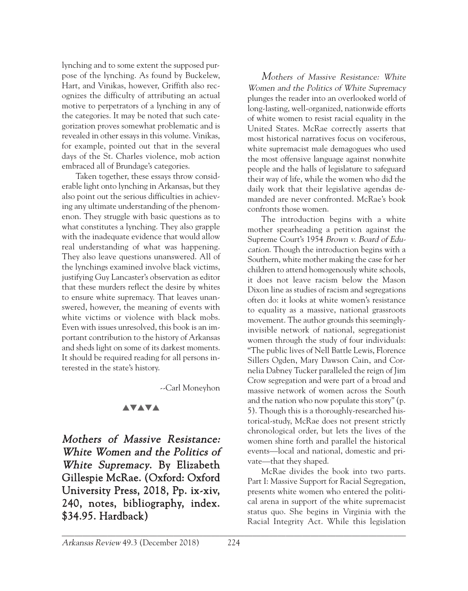lynching and to some extent the supposed purpose of the lynching. As found by Buckelew, Hart, and Vinikas, however, Griffith also recognizes the difficulty of attributing an actual motive to perpetrators of a lynching in any of the categories. It may be noted that such categorization proves somewhat problematic and is revealed in other essays in this volume. Vinikas, for example, pointed out that in the several days of the St. Charles violence, mob action embraced all of Brundage's categories.

Taken together, these essays throw considerable light onto lynching in Arkansas, but they also point out the serious difficulties in achieving any ultimate understanding of the phenomenon. They struggle with basic questions as to what constitutes a lynching. They also grapple with the inadequate evidence that would allow real understanding of what was happening. They also leave questions unanswered. All of the lynchings examined involve black victims, justifying Guy Lancaster's observation as editor that these murders reflect the desire by whites to ensure white supremacy. That leaves unanswered, however, the meaning of events with white victims or violence with black mobs. Even with issues unresolved, this book is an important contribution to the history of Arkansas and sheds light on some of its darkest moments. It should be required reading for all persons interested in the state's history.

--Carl Moneyhon

#### **AVAVA**

Mothers of Massive Resistance: White Women and the Politics of White Supremacy. By Elizabeth Gillespie McRae. (Oxford: Oxford University Press, 2018, Pp. ix-xiv, 240, notes, bibliography, index. \$34.95. Hardback)

Mothers of Massive Resistance: White Women and the Politics of White Supremacy plunges the reader into an overlooked world of long-lasting, well-organized, nationwide efforts of white women to resist racial equality in the United States. McRae correctly asserts that most historical narratives focus on vociferous, white supremacist male demagogues who used the most offensive language against nonwhite people and the halls of legislature to safeguard their way of life, while the women who did the daily work that their legislative agendas demanded are never confronted. McRae's book confronts those women.

The introduction begins with a white mother spearheading a petition against the Supreme Court's 1954 Brown v. Board of Education. Though the introduction begins with a Southern, white mother making the case for her children to attend homogenously white schools, it does not leave racism below the Mason Dixon line as studies of racism and segregations often do: it looks at white women's resistance to equality as a massive, national grassroots movement. The author grounds this seeminglyinvisible network of national, segregationist women through the study of four individuals: "The public lives of Nell Battle Lewis, Florence Sillers Ogden, Mary Dawson Cain, and Cornelia Dabney Tucker paralleled the reign of Jim Crow segregation and were part of a broad and massive network of women across the South and the nation who now populate this story" (p. 5). Though this is a thoroughly-researched historical-study, McRae does not present strictly chronological order, but lets the lives of the women shine forth and parallel the historical events—local and national, domestic and private—that they shaped.

McRae divides the book into two parts. Part I: Massive Support for Racial Segregation, presents white women who entered the political arena in support of the white supremacist status quo. She begins in Virginia with the Racial Integrity Act. While this legislation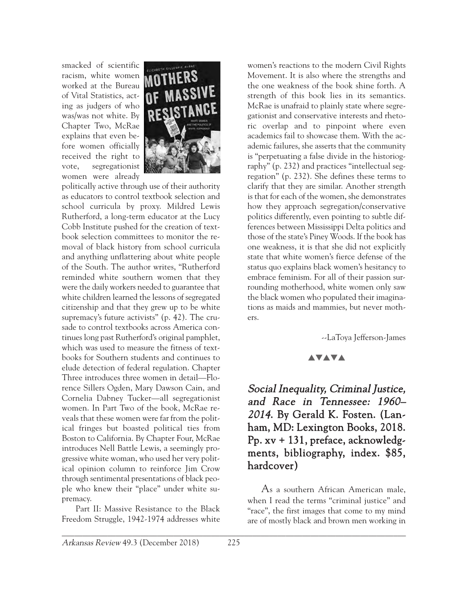smacked of scientific racism, white women worked at the Bureau of Vital Statistics, acting as judgers of who was/was not white. By Chapter Two, McRae explains that even before women officially received the right to vote, segregationist women were already



politically active through use of their authority as educators to control textbook selection and school curricula by proxy. Mildred Lewis Rutherford, a long-term educator at the Lucy Cobb Institute pushed for the creation of textbook selection committees to monitor the removal of black history from school curricula and anything unflattering about white people of the South. The author writes, "Rutherford reminded white southern women that they were the daily workers needed to guarantee that white children learned the lessons of segregated citizenship and that they grew up to be white supremacy's future activists" (p. 42). The crusade to control textbooks across America continues long past Rutherford's original pamphlet, which was used to measure the fitness of textbooks for Southern students and continues to elude detection of federal regulation. Chapter Three introduces three women in detail—Florence Sillers Ogden, Mary Dawson Cain, and Cornelia Dabney Tucker—all segregationist women. In Part Two of the book, McRae reveals that these women were far from the political fringes but boasted political ties from Boston to California. By Chapter Four, McRae introduces Nell Battle Lewis, a seemingly progressive white woman, who used her very political opinion column to reinforce Jim Crow through sentimental presentations of black people who knew their "place" under white supremacy.

Part II: Massive Resistance to the Black Freedom Struggle, 1942-1974 addresses white women's reactions to the modern Civil Rights Movement. It is also where the strengths and the one weakness of the book shine forth. A strength of this book lies in its semantics. McRae is unafraid to plainly state where segregationist and conservative interests and rhetoric overlap and to pinpoint where even academics fail to showcase them. With the academic failures, she asserts that the community is "perpetuating a false divide in the historiography" (p. 232) and practices "intellectual segregation" (p. 232). She defines these terms to clarify that they are similar. Another strength is that for each of the women, she demonstrates how they approach segregation/conservative politics differently, even pointing to subtle differences between Mississippi Delta politics and those of the state's Piney Woods. If the book has one weakness, it is that she did not explicitly state that white women's fierce defense of the status quo explains black women's hesitancy to embrace feminism. For all of their passion surrounding motherhood, white women only saw the black women who populated their imaginations as maids and mammies, but never mothers.

--LaToya Jefferson-James

## <u>avava</u>

Social Inequality, Criminal Justice, and Race in Tennessee: 1960– 2014. By Gerald K. Fosten. (Lanham, MD: Lexington Books, 2018. Pp. xv + 131, preface, acknowledgments, bibliography, index. \$85, hardcover)

As a southern African American male, when I read the terms "criminal justice" and "race", the first images that come to my mind are of mostly black and brown men working in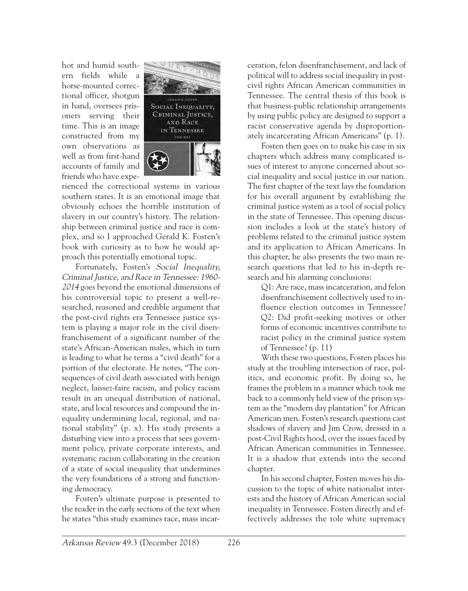hot and humid southern fields while a horse-mounted correctional officer, shotgun in hand, oversees prisoners serving their time. This is an image constructed from my own observations as well as from first-hand accounts of family and friends who have expe-



rienced the correctional systems in various southern states. It is an emotional image that obviously echoes the horrible institution of slavery in our country's history. The relationship between criminal justice and race is complex, and so I approached Gerald K. Fosten's book with curiosity as to how he would approach this potentially emotional topic.

Fortunately, Fosten's Social Inequality, Criminal Justice, and Race in Tennessee: 1960- 2014 goes beyond the emotional dimensions of his controversial topic to present a well-researched, reasoned and credible argument that the post-civil rights era Tennessee justice system is playing a major role in the civil disenfranchisement of a significant number of the state's African-American males, which in turn is leading to what he terms a "civil death" for a portion of the electorate. He notes, "The consequences of civil death associated with benign neglect, laissez-faire racism, and policy racism result in an unequal distribution of national, state, and local resources and compound the inequality undermining local, regional, and national stability" (p. x). His study presents a disturbing view into a process that sees government policy, private corporate interests, and systematic racism collaborating in the creation of a state of social inequality that undermines the very foundations of a strong and functioning democracy.

Fosten's ultimate purpose is presented to the reader in the early sections of the text when he states "this study examines race, mass incar-

ceration, felon disenfranchisement, and lack of political will to address social inequality in postcivil rights African American communities in Tennessee. The central thesis of this book is that business-public relationship arrangements by using public policy are designed to support a racist conservative agenda by disproportionately incarcerating African Americans" (p. 1).

Fosten then goes on to make his case in six chapters which address many complicated issues of interest to anyone concerned about social inequality and social justice in our nation. The first chapter of the text lays the foundation for his overall argument by establishing the criminal justice system as a tool of social policy in the state of Tennessee. This opening discussion includes a look at the state's history of problems related to the criminal justice system and its application to African Americans. In this chapter, he also presents the two main research questions that led to his in-depth research and his alarming conclusions:

Q1: Are race, mass incarceration, and felon disenfranchisement collectively used to influence election outcomes in Tennessee? Q2: Did profit-seeking motives or other forms of economic incentives contribute to racist policy in the criminal justice system of Tennessee? (p. 11)

With these two questions, Fosten places his study at the troubling intersection of race, politics, and economic profit. By doing so, he frames the problem in a manner which took me back to a commonly held view of the prison system as the "modern day plantation" for African American men. Fosten's research questions cast shadows of slavery and Jim Crow, dressed in a post-Civil Rights hood, over the issues faced by African American communities in Tennessee. It is a shadow that extends into the second chapter.

In his second chapter, Fosten moves his discussion to the topic of white nationalist interests and the history of African American social inequality in Tennessee. Fosten directly and effectively addresses the role white supremacy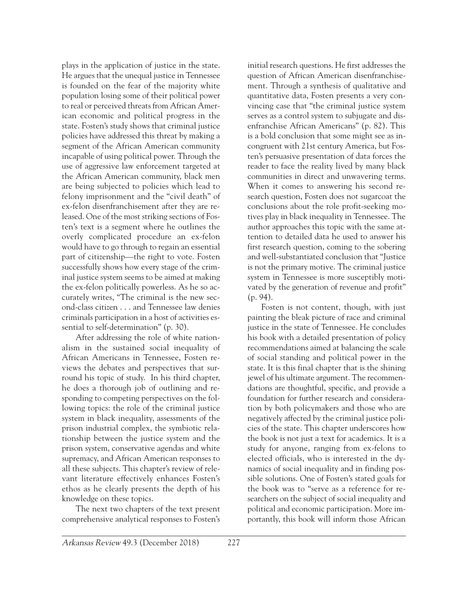plays in the application of justice in the state. He argues that the unequal justice in Tennessee is founded on the fear of the majority white population losing some of their political power to real or perceived threats from African American economic and political progress in the state. Fosten's study shows that criminal justice policies have addressed this threat by making a segment of the African American community incapable of using political power. Through the use of aggressive law enforcement targeted at the African American community, black men are being subjected to policies which lead to felony imprisonment and the "civil death" of ex-felon disenfranchisement after they are released. One of the most striking sections of Fosten's text is a segment where he outlines the overly complicated procedure an ex-felon would have to go through to regain an essential part of citizenship—the right to vote. Fosten successfully shows how every stage of the criminal justice system seems to be aimed at making the ex-felon politically powerless. As he so accurately writes, "The criminal is the new second-class citizen . . . and Tennessee law denies criminals participation in a host of activities essential to self-determination" (p. 30).

After addressing the role of white nationalism in the sustained social inequality of African Americans in Tennessee, Fosten reviews the debates and perspectives that surround his topic of study. In his third chapter, he does a thorough job of outlining and responding to competing perspectives on the following topics: the role of the criminal justice system in black inequality, assessments of the prison industrial complex, the symbiotic relationship between the justice system and the prison system, conservative agendas and white supremacy, and African American responses to all these subjects. This chapter's review of relevant literature effectively enhances Fosten's ethos as he clearly presents the depth of his knowledge on these topics.

The next two chapters of the text present comprehensive analytical responses to Fosten's initial research questions. He first addresses the question of African American disenfranchisement. Through a synthesis of qualitative and quantitative data, Fosten presents a very convincing case that "the criminal justice system serves as a control system to subjugate and disenfranchise African Americans" (p. 82). This is a bold conclusion that some might see as incongruent with 21st century America, but Fosten's persuasive presentation of data forces the reader to face the reality lived by many black communities in direct and unwavering terms. When it comes to answering his second research question, Fosten does not sugarcoat the conclusions about the role profit-seeking motives play in black inequality in Tennessee. The author approaches this topic with the same attention to detailed data he used to answer his first research question, coming to the sobering and well-substantiated conclusion that "Justice is not the primary motive. The criminal justice system in Tennessee is more susceptibly motivated by the generation of revenue and profit" (p. 94).

Fosten is not content, though, with just painting the bleak picture of race and criminal justice in the state of Tennessee. He concludes his book with a detailed presentation of policy recommendations aimed at balancing the scale of social standing and political power in the state. It is this final chapter that is the shining jewel of his ultimate argument. The recommendations are thoughtful, specific, and provide a foundation for further research and consideration by both policymakers and those who are negatively affected by the criminal justice policies of the state. This chapter underscores how the book is not just a text for academics. It is a study for anyone, ranging from ex-felons to elected officials, who is interested in the dynamics of social inequality and in finding possible solutions. One of Fosten's stated goals for the book was to "serve as a reference for researchers on the subject of social inequality and political and economic participation. More importantly, this book will inform those African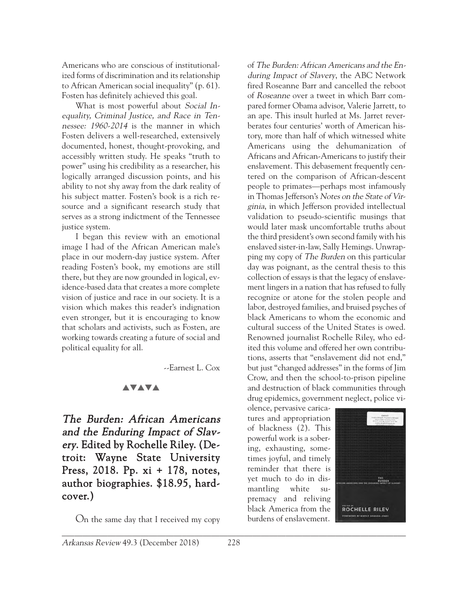Americans who are conscious of institutionalized forms of discrimination and its relationship to African American social inequality" (p. 61). Fosten has definitely achieved this goal.

What is most powerful about Social Inequality, Criminal Justice, and Race in Tennessee: 1960-2014 is the manner in which Fosten delivers a well-researched, extensively documented, honest, thought-provoking, and accessibly written study. He speaks "truth to power" using his credibility as a researcher, his logically arranged discussion points, and his ability to not shy away from the dark reality of his subject matter. Fosten's book is a rich resource and a significant research study that serves as a strong indictment of the Tennessee justice system.

I began this review with an emotional image I had of the African American male's place in our modern-day justice system. After reading Fosten's book, my emotions are still there, but they are now grounded in logical, evidence-based data that creates a more complete vision of justice and race in our society. It is a vision which makes this reader's indignation even stronger, but it is encouraging to know that scholars and activists, such as Fosten, are working towards creating a future of social and political equality for all.

--Earnest L. Cox

#### **AVAVA**

The Burden: African Americans and the Enduring Impact of Slavery. Edited by Rochelle Riley. (Detroit: Wayne State University Press, 2018. Pp. xi + 178, notes, author biographies. \$18.95, hardcover.)

On the same day that I received my copy

of The Burden: African Americans and the Enduring Impact of Slavery, the ABC Network fired Roseanne Barr and cancelled the reboot of Roseanne over a tweet in which Barr compared former Obama advisor, Valerie Jarrett, to an ape. This insult hurled at Ms. Jarret reverberates four centuries' worth of American history, more than half of which witnessed white Americans using the dehumanization of Africans and African-Americans to justify their enslavement. This debasement frequently centered on the comparison of African-descent people to primates—perhaps most infamously in Thomas Jefferson's Notes on the State of Virginia, in which Jefferson provided intellectual validation to pseudo-scientific musings that would later mask uncomfortable truths about the third president's own second family with his enslaved sister-in-law, Sally Hemings. Unwrapping my copy of The Burden on this particular day was poignant, as the central thesis to this collection of essays is that the legacy of enslavement lingers in a nation that has refused to fully recognize or atone for the stolen people and labor, destroyed families, and bruised psyches of black Americans to whom the economic and cultural success of the United States is owed. Renowned journalist Rochelle Riley, who edited this volume and offered her own contributions, asserts that "enslavement did not end," but just "changed addresses" in the forms of Jim Crow, and then the school-to-prison pipeline and destruction of black communities through drug epidemics, government neglect, police vi-

olence, pervasive caricatures and appropriation of blackness (2). This powerful work is a sobering, exhausting, sometimes joyful, and timely reminder that there is yet much to do in dismantling white supremacy and reliving black America from the burdens of enslavement.

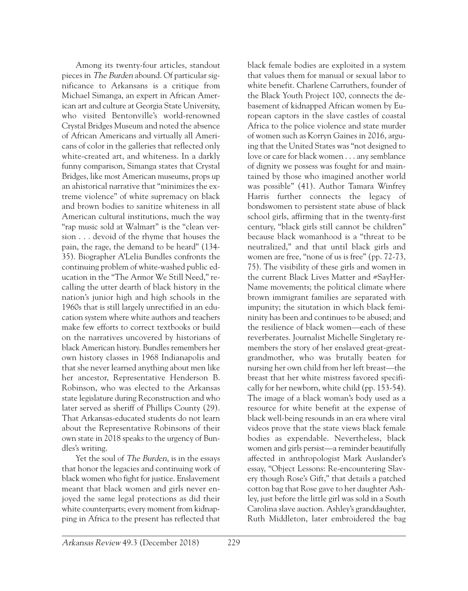Among its twenty-four articles, standout pieces in The Burden abound. Of particular significance to Arkansans is a critique from Michael Simanga, an expert in African American art and culture at Georgia State University, who visited Bentonville's world-renowned Crystal Bridges Museum and noted the absence of African Americans and virtually all Americans of color in the galleries that reflected only white-created art, and whiteness. In a darkly funny comparison, Simanga states that Crystal Bridges, like most American museums, props up an ahistorical narrative that "minimizes the extreme violence" of white supremacy on black and brown bodies to sanitize whiteness in all American cultural institutions, much the way "rap music sold at Walmart" is the "clean version . . . devoid of the rhyme that houses the pain, the rage, the demand to be heard" (134- 35). Biographer A'Lelia Bundles confronts the continuing problem of white-washed public education in the "The Armor We Still Need," recalling the utter dearth of black history in the nation's junior high and high schools in the 1960s that is still largely unrectified in an education system where white authors and teachers make few efforts to correct textbooks or build on the narratives uncovered by historians of black American history. Bundles remembers her own history classes in 1968 Indianapolis and that she never learned anything about men like her ancestor, Representative Henderson B. Robinson, who was elected to the Arkansas state legislature during Reconstruction and who later served as sheriff of Phillips County (29). That Arkansas-educated students do not learn about the Representative Robinsons of their own state in 2018 speaks to the urgency of Bundles's writing.

Yet the soul of The Burden, is in the essays that honor the legacies and continuing work of black women who fight for justice. Enslavement meant that black women and girls never enjoyed the same legal protections as did their white counterparts; every moment from kidnapping in Africa to the present has reflected that black female bodies are exploited in a system that values them for manual or sexual labor to white benefit. Charlene Carruthers, founder of the Black Youth Project 100, connects the debasement of kidnapped African women by European captors in the slave castles of coastal Africa to the police violence and state murder of women such as Korryn Gaines in 2016, arguing that the United States was "not designed to love or care for black women . . . any semblance of dignity we possess was fought for and maintained by those who imagined another world was possible" (41). Author Tamara Winfrey Harris further connects the legacy of bondswomen to persistent state abuse of black school girls, affirming that in the twenty-first century, "black girls still cannot be children" because black womanhood is a "threat to be neutralized," and that until black girls and women are free, "none of us is free" (pp. 72-73, 75). The visibility of these girls and women in the current Black Lives Matter and #SayHer-Name movements; the political climate where brown immigrant families are separated with impunity; the situtation in which black femininity has been and continues to be abused; and the resilience of black women—each of these reverberates. Journalist Michelle Singletary remembers the story of her enslaved great-greatgrandmother, who was brutally beaten for nursing her own child from her left breast—the breast that her white mistress favored specifically for her newborn, white child (pp. 153-54). The image of a black woman's body used as a resource for white benefit at the expense of black well-being resounds in an era where viral videos prove that the state views black female bodies as expendable. Nevertheless, black women and girls persist—a reminder beautifully affected in anthropologist Mark Auslander's essay, "Object Lessons: Re-encountering Slavery though Rose's Gift," that details a patched cotton bag that Rose gave to her daughter Ashley, just before the little girl was sold in a South Carolina slave auction. Ashley's granddaughter, Ruth Middleton, later embroidered the bag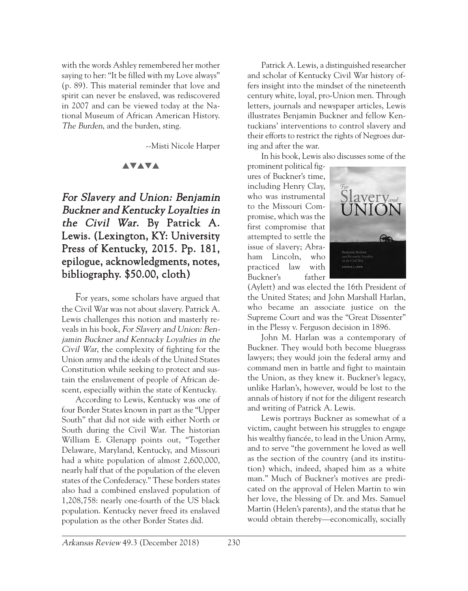with the words Ashley remembered her mother saying to her: "It be filled with my Love always" (p. 89). This material reminder that love and spirit can never be enslaved, was rediscovered in 2007 and can be viewed today at the National Museum of African American History. The Burden, and the burden, sting.

--Misti Nicole Harper

#### **AVAVA**

For Slavery and Union: Benjamin Buckner and Kentucky Loyalties in the Civil War. By Patrick A. Lewis. (Lexington, KY: University Press of Kentucky, 2015. Pp. 181, epilogue, acknowledgments, notes, bibliography. \$50.00, cloth)

For years, some scholars have argued that the Civil War was not about slavery. Patrick A. Lewis challenges this notion and masterly reveals in his book, For Slavery and Union: Benjamin Buckner and Kentucky Loyalties in the Civil War, the complexity of fighting for the Union army and the ideals of the United States Constitution while seeking to protect and sustain the enslavement of people of African descent, especially within the state of Kentucky.

According to Lewis, Kentucky was one of four Border States known in part as the "Upper South" that did not side with either North or South during the Civil War. The historian William E. Glenapp points out, "Together Delaware, Maryland, Kentucky, and Missouri had a white population of almost 2,600,000, nearly half that of the population of the eleven states of the Confederacy." These borders states also had a combined enslaved population of 1,208,758: nearly one-fourth of the US black population. Kentucky never freed its enslaved population as the other Border States did.

Patrick A. Lewis, a distinguished researcher and scholar of Kentucky Civil War history offers insight into the mindset of the nineteenth century white, loyal, pro-Union men. Through letters, journals and newspaper articles, Lewis illustrates Benjamin Buckner and fellow Kentuckians' interventions to control slavery and their efforts to restrict the rights of Negroes during and after the war.

In his book, Lewis also discusses some of the

prominent political figures of Buckner's time, including Henry Clay, who was instrumental to the Missouri Compromise, which was the first compromise that attempted to settle the issue of slavery; Abraham Lincoln, who practiced law with Buckner's father



(Aylett) and was elected the 16th President of the United States; and John Marshall Harlan, who became an associate justice on the Supreme Court and was the "Great Dissenter" in the Plessy v. Ferguson decision in 1896.

John M. Harlan was a contemporary of Buckner. They would both become bluegrass lawyers; they would join the federal army and command men in battle and fight to maintain the Union, as they knew it. Buckner's legacy, unlike Harlan's, however, would be lost to the annals of history if not for the diligent research and writing of Patrick A. Lewis.

Lewis portrays Buckner as somewhat of a victim, caught between his struggles to engage his wealthy fiancée, to lead in the Union Army, and to serve "the government he loved as well as the section of the country (and its institution) which, indeed, shaped him as a white man." Much of Buckner's motives are predicated on the approval of Helen Martin to win her love, the blessing of Dr. and Mrs. Samuel Martin (Helen's parents), and the status that he would obtain thereby—economically, socially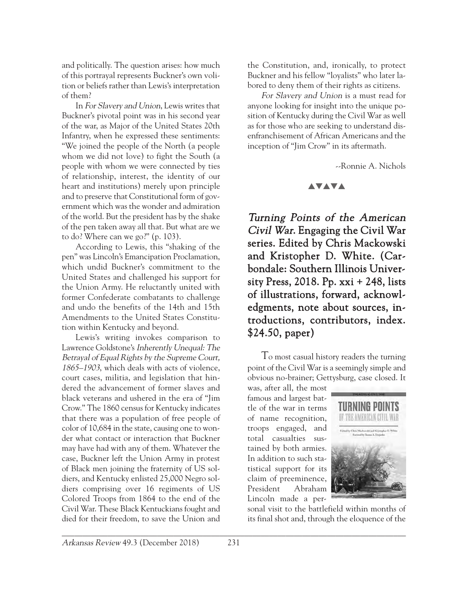and politically. The question arises: how much of this portrayal represents Buckner's own volition or beliefs rather than Lewis's interpretation of them?

In For Slavery and Union, Lewis writes that Buckner's pivotal point was in his second year of the war, as Major of the United States 20th Infantry, when he expressed these sentiments: "We joined the people of the North (a people whom we did not love) to fight the South (a people with whom we were connected by ties of relationship, interest, the identity of our heart and institutions) merely upon principle and to preserve that Constitutional form of government which was the wonder and admiration of the world. But the president has by the shake of the pen taken away all that. But what are we to do? Where can we go?" (p. 103).

According to Lewis, this "shaking of the pen" was Lincoln's Emancipation Proclamation, which undid Buckner's commitment to the United States and challenged his support for the Union Army. He reluctantly united with former Confederate combatants to challenge and undo the benefits of the 14th and 15th Amendments to the United States Constitution within Kentucky and beyond.

Lewis's writing invokes comparison to Lawrence Goldstone's Inherently Unequal: The Betrayal of Equal Rights by the Supreme Court, 1865–1903, which deals with acts of violence, court cases, militia, and legislation that hindered the advancement of former slaves and black veterans and ushered in the era of "Jim Crow." The 1860 census for Kentucky indicates that there was a population of free people of color of 10,684 in the state, causing one to wonder what contact or interaction that Buckner may have had with any of them. Whatever the case, Buckner left the Union Army in protest of Black men joining the fraternity of US soldiers, and Kentucky enlisted 25,000 Negro soldiers comprising over 16 regiments of US Colored Troops from 1864 to the end of the Civil War. These Black Kentuckians fought and died for their freedom, to save the Union and

the Constitution, and, ironically, to protect Buckner and his fellow "loyalists" who later labored to deny them of their rights as citizens.

For Slavery and Union is a must read for anyone looking for insight into the unique position of Kentucky during the Civil War as well as for those who are seeking to understand disenfranchisement of African Americans and the inception of "Jim Crow" in its aftermath.

--Ronnie A. Nichols

## **AVAVA**

Turning Points of the American Civil War. Engaging the Civil War series. Edited by Chris Mackowski and Kristopher D. White. (Carbondale: Southern Illinois University Press, 2018. Pp. xxi + 248, lists of illustrations, forward, acknowledgments, note about sources, introductions, contributors, index. \$24.50, paper)

To most casual history readers the turning point of the Civil War is a seemingly simple and obvious no-brainer; Gettysburg, case closed. It

was, after all, the most famous and largest battle of the war in terms of name recognition, troops engaged, and total casualties sustained by both armies. In addition to such statistical support for its claim of preeminence, President Abraham Lincoln made a per-



sonal visit to the battlefield within months of its final shot and, through the eloquence of the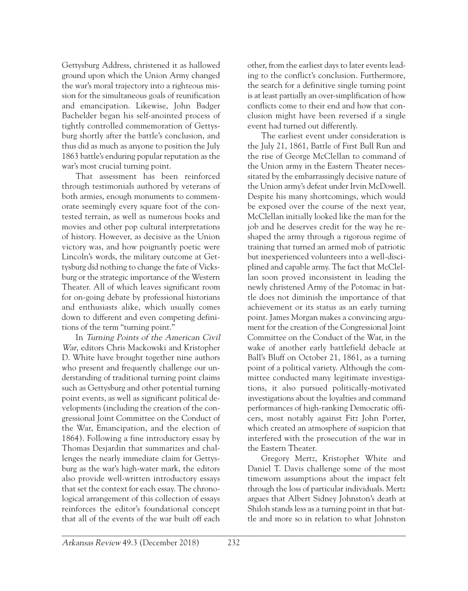Gettysburg Address, christened it as hallowed ground upon which the Union Army changed the war's moral trajectory into a righteous mission for the simultaneous goals of reunification and emancipation. Likewise, John Badger Bachelder began his self-anointed process of tightly controlled commemoration of Gettysburg shortly after the battle's conclusion, and thus did as much as anyone to position the July 1863 battle's enduring popular reputation as the war's most crucial turning point.

That assessment has been reinforced through testimonials authored by veterans of both armies, enough monuments to commemorate seemingly every square foot of the contested terrain, as well as numerous books and movies and other pop cultural interpretations of history. However, as decisive as the Union victory was, and how poignantly poetic were Lincoln's words, the military outcome at Gettysburg did nothing to change the fate of Vicksburg or the strategic importance of the Western Theater. All of which leaves significant room for on-going debate by professional historians and enthusiasts alike, which usually comes down to different and even competing definitions of the term "turning point."

In Turning Points of the American Civil War, editors Chris Mackowski and Kristopher D. White have brought together nine authors who present and frequently challenge our understanding of traditional turning point claims such as Gettysburg and other potential turning point events, as well as significant political developments (including the creation of the congressional Joint Committee on the Conduct of the War, Emancipation, and the election of 1864). Following a fine introductory essay by Thomas Desjardin that summarizes and challenges the nearly immediate claim for Gettysburg as the war's high-water mark, the editors also provide well-written introductory essays that set the context for each essay. The chronological arrangement of this collection of essays reinforces the editor's foundational concept that all of the events of the war built off each

other, from the earliest days to later events leading to the conflict's conclusion. Furthermore, the search for a definitive single turning point is at least partially an over-simplification of how conflicts come to their end and how that conclusion might have been reversed if a single event had turned out differently.

The earliest event under consideration is the July 21, 1861, Battle of First Bull Run and the rise of George McClellan to command of the Union army in the Eastern Theater necessitated by the embarrassingly decisive nature of the Union army's defeat under Irvin McDowell. Despite his many shortcomings, which would be exposed over the course of the next year, McClellan initially looked like the man for the job and he deserves credit for the way he reshaped the army through a rigorous regime of training that turned an armed mob of patriotic but inexperienced volunteers into a well-disciplined and capable army. The fact that McClellan soon proved inconsistent in leading the newly christened Army of the Potomac in battle does not diminish the importance of that achievement or its status as an early turning point. James Morgan makes a convincing argument for the creation of the Congressional Joint Committee on the Conduct of the War, in the wake of another early battlefield debacle at Ball's Bluff on October 21, 1861, as a turning point of a political variety. Although the committee conducted many legitimate investigations, it also pursued politically-motivated investigations about the loyalties and command performances of high-ranking Democratic officers, most notably against Fitz John Porter, which created an atmosphere of suspicion that interfered with the prosecution of the war in the Eastern Theater.

Gregory Mertz, Kristopher White and Daniel T. Davis challenge some of the most timeworn assumptions about the impact felt through the loss of particular individuals. Mertz argues that Albert Sidney Johnston's death at Shiloh stands less as a turning point in that battle and more so in relation to what Johnston